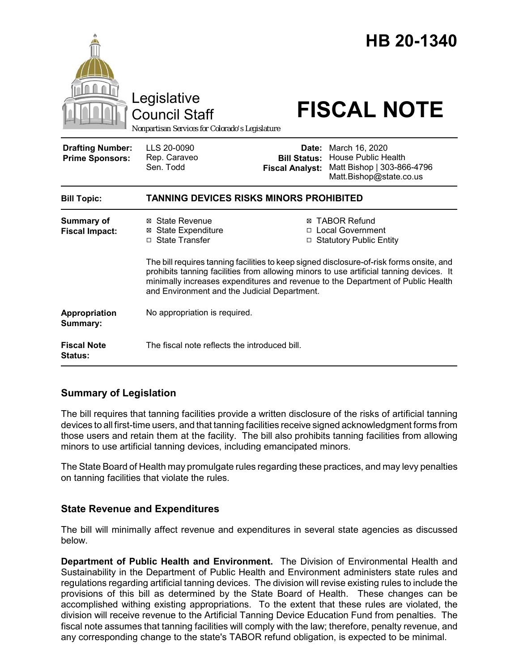|                                                   | Legislative<br><b>Council Staff</b><br>Nonpartisan Services for Colorado's Legislature                                          |                                                        | HB 20-1340<br><b>FISCAL NOTE</b>                                                                                                                                                                                                                                |
|---------------------------------------------------|---------------------------------------------------------------------------------------------------------------------------------|--------------------------------------------------------|-----------------------------------------------------------------------------------------------------------------------------------------------------------------------------------------------------------------------------------------------------------------|
| <b>Drafting Number:</b><br><b>Prime Sponsors:</b> | LLS 20-0090<br>Rep. Caraveo<br>Sen. Todd                                                                                        | Date:<br><b>Bill Status:</b><br><b>Fiscal Analyst:</b> | March 16, 2020<br><b>House Public Health</b><br>Matt Bishop   303-866-4796<br>Matt.Bishop@state.co.us                                                                                                                                                           |
| <b>Bill Topic:</b>                                | <b>TANNING DEVICES RISKS MINORS PROHIBITED</b>                                                                                  |                                                        |                                                                                                                                                                                                                                                                 |
| <b>Summary of</b><br><b>Fiscal Impact:</b>        | ⊠ State Revenue<br><b>⊠</b> State Expenditure<br>□ State Transfer                                                               |                                                        | <b>⊠ TABOR Refund</b><br>□ Local Government<br>□ Statutory Public Entity<br>The bill requires tanning facilities to keep signed disclosure-of-risk forms onsite, and<br>prohibits tanning facilities from allowing minors to use artificial tanning devices. It |
|                                                   | minimally increases expenditures and revenue to the Department of Public Health<br>and Environment and the Judicial Department. |                                                        |                                                                                                                                                                                                                                                                 |
| Appropriation<br>Summary:                         | No appropriation is required.                                                                                                   |                                                        |                                                                                                                                                                                                                                                                 |
| <b>Fiscal Note</b><br><b>Status:</b>              | The fiscal note reflects the introduced bill.                                                                                   |                                                        |                                                                                                                                                                                                                                                                 |

## **Summary of Legislation**

The bill requires that tanning facilities provide a written disclosure of the risks of artificial tanning devices to all first-time users, and that tanning facilities receive signed acknowledgment forms from those users and retain them at the facility. The bill also prohibits tanning facilities from allowing minors to use artificial tanning devices, including emancipated minors.

The State Board of Health may promulgate rules regarding these practices, and may levy penalties on tanning facilities that violate the rules.

## **State Revenue and Expenditures**

The bill will minimally affect revenue and expenditures in several state agencies as discussed below.

**Department of Public Health and Environment.** The Division of Environmental Health and Sustainability in the Department of Public Health and Environment administers state rules and regulations regarding artificial tanning devices. The division will revise existing rules to include the provisions of this bill as determined by the State Board of Health. These changes can be accomplished withing existing appropriations. To the extent that these rules are violated, the division will receive revenue to the Artificial Tanning Device Education Fund from penalties. The fiscal note assumes that tanning facilities will comply with the law; therefore, penalty revenue, and any corresponding change to the state's TABOR refund obligation, is expected to be minimal.